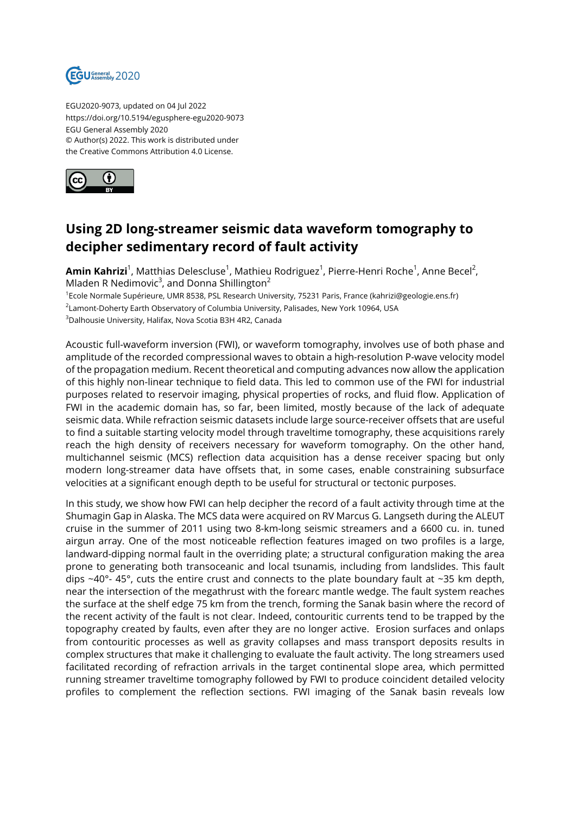

EGU2020-9073, updated on 04 Jul 2022 https://doi.org/10.5194/egusphere-egu2020-9073 EGU General Assembly 2020 © Author(s) 2022. This work is distributed under the Creative Commons Attribution 4.0 License.



## **Using 2D long-streamer seismic data waveform tomography to decipher sedimentary record of fault activity**

**Amin Kahrizi**<sup>1</sup>, Matthias Delescluse<sup>1</sup>, Mathieu Rodriguez<sup>1</sup>, Pierre-Henri Roche<sup>1</sup>, Anne Becel<sup>2</sup>, Mladen R Nedimovic<sup>3</sup>, and Donna Shillington<sup>2</sup>

<sup>1</sup>Ecole Normale Supérieure, UMR 8538, PSL Research University, 75231 Paris, France (kahrizi@geologie.ens.fr)  $^2$ Lamont-Doherty Earth Observatory of Columbia University, Palisades, New York 10964, USA

<sup>3</sup>Dalhousie University, Halifax, Nova Scotia B3H 4R2, Canada

Acoustic full-waveform inversion (FWI), or waveform tomography, involves use of both phase and amplitude of the recorded compressional waves to obtain a high-resolution P-wave velocity model of the propagation medium. Recent theoretical and computing advances now allow the application of this highly non-linear technique to field data. This led to common use of the FWI for industrial purposes related to reservoir imaging, physical properties of rocks, and fluid flow. Application of FWI in the academic domain has, so far, been limited, mostly because of the lack of adequate seismic data. While refraction seismic datasets include large source-receiver offsets that are useful to find a suitable starting velocity model through traveltime tomography, these acquisitions rarely reach the high density of receivers necessary for waveform tomography. On the other hand, multichannel seismic (MCS) reflection data acquisition has a dense receiver spacing but only modern long-streamer data have offsets that, in some cases, enable constraining subsurface velocities at a significant enough depth to be useful for structural or tectonic purposes.

In this study, we show how FWI can help decipher the record of a fault activity through time at the Shumagin Gap in Alaska. The MCS data were acquired on RV Marcus G. Langseth during the ALEUT cruise in the summer of 2011 using two 8-km-long seismic streamers and a 6600 cu. in. tuned airgun array. One of the most noticeable reflection features imaged on two profiles is a large, landward-dipping normal fault in the overriding plate; a structural configuration making the area prone to generating both transoceanic and local tsunamis, including from landslides. This fault dips  $\sim$ 40°- 45°, cuts the entire crust and connects to the plate boundary fault at  $\sim$ 35 km depth, near the intersection of the megathrust with the forearc mantle wedge. The fault system reaches the surface at the shelf edge 75 km from the trench, forming the Sanak basin where the record of the recent activity of the fault is not clear. Indeed, contouritic currents tend to be trapped by the topography created by faults, even after they are no longer active. Erosion surfaces and onlaps from contouritic processes as well as gravity collapses and mass transport deposits results in complex structures that make it challenging to evaluate the fault activity. The long streamers used facilitated recording of refraction arrivals in the target continental slope area, which permitted running streamer traveltime tomography followed by FWI to produce coincident detailed velocity profiles to complement the reflection sections. FWI imaging of the Sanak basin reveals low